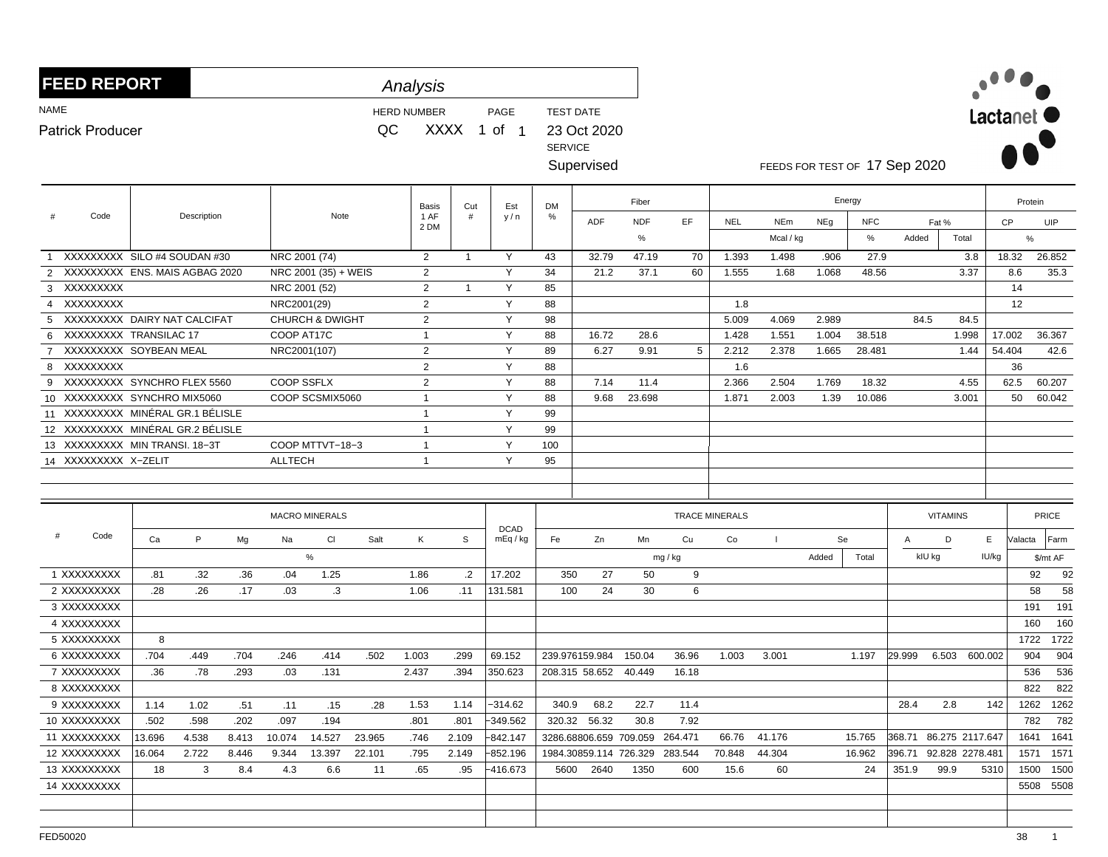| <b>FEED REPORT</b><br>Analysis                                   |                               |       |                   |                   |                            |        |                                |              |                  |             |                       |                                |                                |                               |                |               |                 |                 |                        |               |              |                  |      |
|------------------------------------------------------------------|-------------------------------|-------|-------------------|-------------------|----------------------------|--------|--------------------------------|--------------|------------------|-------------|-----------------------|--------------------------------|--------------------------------|-------------------------------|----------------|---------------|-----------------|-----------------|------------------------|---------------|--------------|------------------|------|
| <b>NAME</b><br><b>HERD NUMBER</b>                                |                               |       |                   |                   |                            |        |                                | PAGE         | <b>TEST DATE</b> |             |                       |                                |                                |                               |                |               |                 |                 |                        | Lactanet      |              |                  |      |
| <b>Patrick Producer</b>                                          |                               |       | QC<br>XXXX 1 of 1 |                   |                            |        |                                |              | <b>SERVICE</b>   | 23 Oct 2020 |                       |                                |                                |                               |                |               |                 |                 |                        |               |              |                  |      |
|                                                                  |                               |       |                   |                   |                            |        |                                |              |                  | Supervised  |                       |                                |                                | FEEDS FOR TEST OF 17 Sep 2020 |                |               |                 |                 |                        |               |              |                  |      |
|                                                                  | Description                   |       |                   |                   |                            |        | <b>Basis</b>                   | Cut          | Est              | <b>DM</b>   |                       | Fiber                          |                                |                               |                |               | Energy          |                 |                        |               |              | Protein          |      |
| Code                                                             |                               |       |                   |                   | Note                       |        | 1 AF<br>2 DM                   | #            | y/n              | $\%$        | <b>ADF</b>            | <b>NDF</b>                     | EF.                            | <b>NEL</b>                    | <b>NEm</b>     | NEg           | <b>NFC</b>      |                 | Fat %                  |               | CP<br>UIP    |                  |      |
|                                                                  |                               |       |                   |                   |                            |        |                                |              |                  |             |                       | $\%$                           |                                |                               | Mcal / kg      |               | $\%$            | Added           |                        | Total         |              | $\%$             |      |
|                                                                  | XXXXXXXXX SILO #4 SOUDAN #30  |       |                   |                   | NRC 2001 (74)              |        |                                | $\mathbf{1}$ | Y                | 43          | 32.79                 | 47.19                          | 70                             | 1.393                         | 1.498          | .906          | 27.9            |                 |                        | 3.8           | 18.32        | 26.852           |      |
| $\overline{2}$                                                   | XXXXXXXX ENS. MAIS AGBAG 2020 |       |                   |                   | NRC 2001 (35) + WEIS       |        |                                |              | Y                | 34          | 21.2                  | 37.1                           | 60                             | 1.555                         | 1.68           | 1.068         | 48.56           |                 |                        | 3.37          | 8.6          |                  | 35.3 |
| 3 XXXXXXXXX                                                      |                               |       |                   | NRC 2001 (52)     |                            |        | $\overline{2}$                 | $\mathbf{1}$ | Y                | 85          |                       |                                |                                |                               |                |               |                 |                 |                        |               | 14           |                  |      |
| XXXXXXXXX<br>4                                                   |                               |       |                   | NRC2001(29)       |                            |        | $\overline{2}$                 |              | Y                | 88          |                       |                                |                                | 1.8                           |                |               |                 |                 |                        |               | 12           |                  |      |
| XXXXXXXX DAIRY NAT CALCIFAT<br>$5^{\circ}$                       |                               |       |                   |                   | <b>CHURCH &amp; DWIGHT</b> |        | $\overline{2}$                 |              | Y                | 98          |                       |                                |                                | 5.009                         | 4.069          | 2.989         |                 |                 | 84.5                   | 84.5          |              |                  |      |
| XXXXXXXX TRANSILAC 17<br>6                                       |                               |       |                   | COOP AT17C        |                            |        | $\mathbf{1}$                   |              | Υ                | 88          | 16.72                 | 28.6                           |                                | 1.428                         | 1.551          | 1.004         | 38.518          |                 |                        | 1.998         | 17.002       | 36.367           |      |
| XXXXXXXX SOYBEAN MEAL<br>7                                       |                               |       |                   |                   | NRC2001(107)               |        | $\overline{2}$                 |              | Y                | 89          | 6.27                  | 9.91                           | 5                              | 2.212                         | 2.378          | 1.665         | 28.481          |                 |                        | 1.44          | 54.404       |                  | 42.6 |
| XXXXXXXXX<br>8                                                   |                               |       |                   | <b>COOP SSFLX</b> |                            |        | $\overline{2}$                 |              | Υ<br>Y           | 88          |                       |                                |                                | 1.6                           |                |               |                 |                 |                        |               | 36           |                  |      |
| XXXXXXXX SYNCHRO FLEX 5560<br>9                                  |                               |       |                   |                   |                            |        | $\overline{2}$<br>$\mathbf{1}$ |              | Y                | 88<br>88    | 7.14<br>9.68          | 11.4<br>23.698                 |                                | 2.366<br>1.871                | 2.504<br>2.003 | 1.769<br>1.39 | 18.32<br>10.086 |                 |                        | 4.55<br>3.001 | 62.5<br>50   | 60.207<br>60.042 |      |
| 10 XXXXXXXXX SYNCHRO MIX5060<br>11 XXXXXXXX MINÉRAL GR.1 BÉLISLE |                               |       |                   | COOP SCSMIX5060   |                            |        | $\mathbf{1}$                   |              | Y                | 99          |                       |                                |                                |                               |                |               |                 |                 |                        |               |              |                  |      |
| 12 XXXXXXXXX MINÉRAL GR.2 BÉLISLE                                |                               |       |                   |                   |                            |        | $\mathbf{1}$                   |              | Υ                | 99          |                       |                                |                                |                               |                |               |                 |                 |                        |               |              |                  |      |
| 13 XXXXXXXXX MIN TRANSI. 18-3T                                   |                               |       |                   |                   | COOP MTTVT-18-3            |        | $\mathbf{1}$                   |              | Y                | 100         |                       |                                |                                |                               |                |               |                 |                 |                        |               |              |                  |      |
| 14 XXXXXXXXX X-ZELIT                                             |                               |       |                   | <b>ALLTECH</b>    |                            |        | $\mathbf{1}$                   |              | Y                | 95          |                       |                                |                                |                               |                |               |                 |                 |                        |               |              |                  |      |
|                                                                  |                               |       |                   |                   |                            |        |                                |              |                  |             |                       |                                |                                |                               |                |               |                 |                 |                        |               |              |                  |      |
|                                                                  |                               |       |                   |                   |                            |        |                                |              |                  |             |                       |                                |                                |                               |                |               |                 |                 |                        |               |              |                  |      |
| <b>MACRO MINERALS</b>                                            |                               |       |                   |                   |                            |        |                                |              |                  |             |                       |                                | <b>TRACE MINERALS</b>          |                               |                |               |                 | <b>VITAMINS</b> |                        |               | <b>PRICE</b> |                  |      |
|                                                                  |                               |       |                   |                   |                            |        |                                |              | <b>DCAD</b>      |             |                       |                                |                                |                               |                |               |                 |                 |                        |               |              |                  |      |
| Code                                                             | Ca                            | P     | Mg                | Na                | <b>CI</b>                  | Salt   | K                              | S            | mEq / kg         | Fe          | Zn                    | Mn                             | Cu                             | Co                            | $\mathbf{I}$   | Se            |                 | A               | D                      | Е             | Valacta      |                  | Farm |
|                                                                  |                               |       |                   |                   | $\%$                       |        |                                |              |                  |             |                       |                                | mg / kg                        |                               |                | Added         | Total           |                 | kIU kg                 | IU/kg         |              | \$/mt AF         |      |
| 1 XXXXXXXXX                                                      | .81                           | .32   | .36               | .04               | 1.25                       |        | 1.86                           | $\cdot$ 2    | 17.202           | 350         | 27                    | 50                             | 9                              |                               |                |               |                 |                 |                        |               |              | 92               | 92   |
| 2 XXXXXXXXX                                                      | .28                           | .26   | .17               | .03               | .3                         |        | 1.06                           | .11          | 131.581          | 100         | 24                    | 30                             | 6                              |                               |                |               |                 |                 |                        |               |              | 58               | 58   |
| 3 XXXXXXXXX                                                      |                               |       |                   |                   |                            |        |                                |              |                  |             |                       |                                |                                |                               |                |               |                 |                 |                        |               |              | 191              | 191  |
| 4 XXXXXXXXX                                                      |                               |       |                   |                   |                            |        |                                |              |                  |             |                       |                                |                                |                               |                |               |                 |                 |                        |               |              | 160              | 160  |
| 5 XXXXXXXXX                                                      | 8                             |       |                   |                   |                            |        |                                |              |                  |             |                       |                                |                                |                               |                |               |                 |                 |                        |               |              | 1722 1722        |      |
| 6 XXXXXXXXX                                                      | .704                          | .449  | .704              | .246              | .414                       | .502   | 1.003                          | .299         | 69.152           |             | 239.976159.984        | 150.04                         | 36.96                          | 1.003                         | 3.001          |               | 1.197           | 29.999          |                        | 6.503 600.002 |              | 904              | 904  |
| 7 XXXXXXXXX                                                      | .36                           | .78   | .293              | .03               | .131                       |        | 2.437                          | .394         | 350.623          |             | 208.315 58.652 40.449 |                                | 16.18                          |                               |                |               |                 |                 |                        |               |              | 536              | 536  |
| 8 XXXXXXXXX                                                      |                               |       |                   |                   |                            |        |                                |              |                  |             |                       |                                |                                |                               |                |               |                 |                 |                        |               |              | 822              | 822  |
| 9 XXXXXXXXX                                                      | 1.14                          | 1.02  | .51               | .11               | .15                        | .28    | 1.53                           | 1.14         | -314.62          |             | 340.9 68.2            | 22.7                           | 11.4                           |                               |                |               |                 | 28.4            | 2.8                    |               | 142          | 1262 1262        |      |
| 10 XXXXXXXXX                                                     | .502                          | .598  | .202              | .097              | .194                       |        | .801                           | .801         | -349.562         |             | 320.32 56.32          | 30.8                           | 7.92                           |                               |                |               |                 |                 |                        |               |              | 782 782          |      |
| 11 XXXXXXXXX                                                     | 13.696                        | 4.538 | 8.413             | 10.074            | 14.527                     | 23.965 | .746                           | 2.109        | -842.147         |             |                       | 3286.68806.659 709.059 264.471 |                                | 66.76                         | 41.176         |               | 15.765          |                 | 368.71 86.275 2117.647 |               |              | 1641 1641        |      |
| 12 XXXXXXXXX                                                     | 16.064                        | 2.722 | 8.446             | 9.344             | 13.397                     | 22.101 | .795                           | 2.149        | -852.196         |             |                       |                                | 1984.30859.114 726.329 283.544 | 70.848                        | 44.304         |               | 16.962          |                 | 396.71 92.828 2278.481 |               |              | 1571 1571        |      |
| 13 XXXXXXXXX                                                     | 18                            | 3     | 8.4               | 4.3               | 6.6                        | 11     | .65                            | .95          | -416.673         |             | 5600 2640             | 1350                           | 600                            | 15.6                          | 60             |               | 24              | 351.9           | 99.9                   | 5310          |              | 1500 1500        |      |
| 14 XXXXXXXXX                                                     |                               |       |                   |                   |                            |        |                                |              |                  |             |                       |                                |                                |                               |                |               |                 |                 |                        |               |              | 5508 5508        |      |
|                                                                  |                               |       |                   |                   |                            |        |                                |              |                  |             |                       |                                |                                |                               |                |               |                 |                 |                        |               |              |                  |      |
|                                                                  |                               |       |                   |                   |                            |        |                                |              |                  |             |                       |                                |                                |                               |                |               |                 |                 |                        |               |              |                  |      |